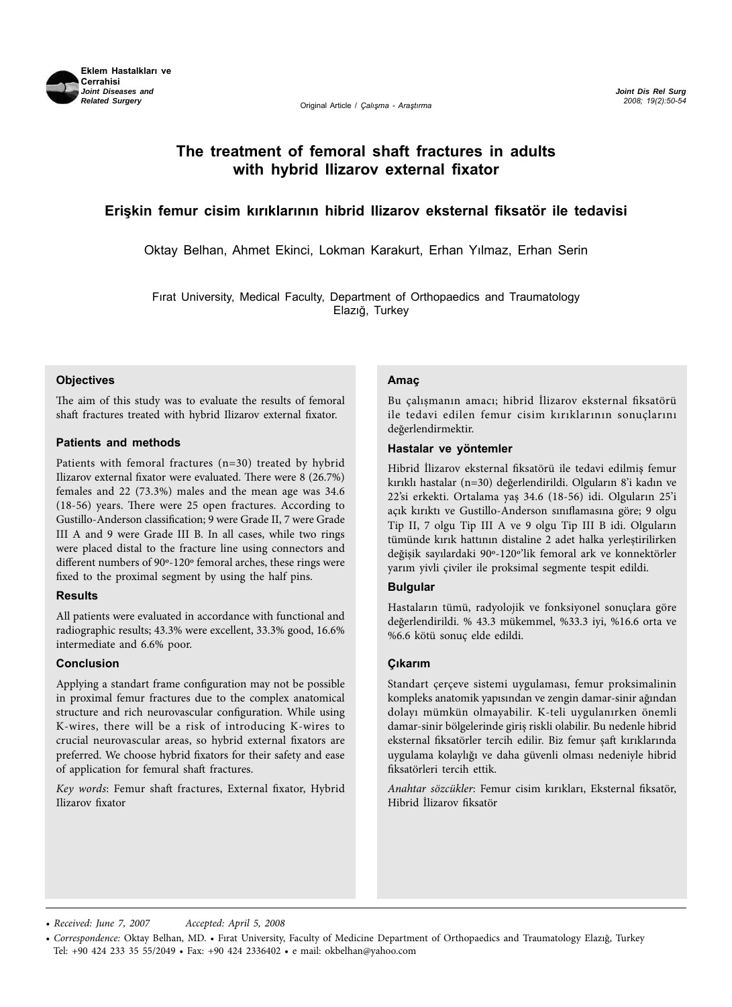

*Joint Dis Rel Surg 2008; 19(2):50-54*

# **The treatment of femoral shaft fractures in adults with hybrid Ilizarov external fixator**

# **Erişkin femur cisim kırıklarının hibrid Ilizarov eksternal fiksatör ile tedavisi**

Oktay Belhan, Ahmet Ekinci, Lokman Karakurt, Erhan Yılmaz, Erhan Serin

Fırat University, Medical Faculty, Department of Orthopaedics and Traumatology Elazığ, Turkey

#### **Objectives**

The aim of this study was to evaluate the results of femoral shaft fractures treated with hybrid Ilizarov external fixator.

#### **Patients and methods**

Patients with femoral fractures (n=30) treated by hybrid Ilizarov external fixator were evaluated. There were 8 (26.7%) females and 22 (73.3%) males and the mean age was 34.6 (18-56) years. There were 25 open fractures. According to Gustillo-Anderson classification; 9 were Grade II, 7 were Grade III A and 9 were Grade III B. In all cases, while two rings were placed distal to the fracture line using connectors and different numbers of 90º-120º femoral arches, these rings were fixed to the proximal segment by using the half pins.

#### **Results**

All patients were evaluated in accordance with functional and radiographic results; 43.3% were excellent, 33.3% good, 16.6% intermediate and 6.6% poor.

#### **Conclusion**

Applying a standart frame configuration may not be possible in proximal femur fractures due to the complex anatomical structure and rich neurovascular configuration. While using K-wires, there will be a risk of introducing K-wires to crucial neurovascular areas, so hybrid external fixators are preferred. We choose hybrid fixators for their safety and ease of application for femural shaft fractures.

*Key words*: Femur shaft fractures, External fixator, Hybrid Ilizarov fixator

#### **Amaç**

Bu çalışmanın amacı; hibrid İlizarov eksternal fiksatörü ile tedavi edilen femur cisim kırıklarının sonuçlarını değerlendirmektir.

#### **Hastalar ve yöntemler**

Hibrid İlizarov eksternal fiksatörü ile tedavi edilmiş femur kırıklı hastalar (n=30) değerlendirildi. Olguların 8'i kadın ve 22'si erkekti. Ortalama yaş 34.6 (18-56) idi. Olguların 25'i açık kırıktı ve Gustillo-Anderson sınıflamasına göre; 9 olgu Tip II, 7 olgu Tip III A ve 9 olgu Tip III B idi. Olguların tümünde kırık hattının distaline 2 adet halka yerleştirilirken değişik sayılardaki 90º-120º'lik femoral ark ve konnektörler yarım yivli çiviler ile proksimal segmente tespit edildi.

#### **Bulgular**

Hastaların tümü, radyolojik ve fonksiyonel sonuçlara göre değerlendirildi. % 43.3 mükemmel, %33.3 iyi, %16.6 orta ve %6.6 kötü sonuç elde edildi.

#### **Çıkarım**

Standart çerçeve sistemi uygulaması, femur proksimalinin kompleks anatomik yapısından ve zengin damar-sinir ağından dolayı mümkün olmayabilir. K-teli uygulanırken önemli damar-sinir bölgelerinde giriş riskli olabilir. Bu nedenle hibrid eksternal fiksatörler tercih edilir. Biz femur şaft kırıklarında uygulama kolaylığı ve daha güvenli olması nedeniyle hibrid fiksatörleri tercih ettik.

*Anahtar sözcükler*: Femur cisim kırıkları, Eksternal fiksatör, Hibrid İlizarov fiksatör

<sup>•</sup> *Received: June 7, 2007 Accepted: April 5, 2008*

<sup>•</sup> *Correspondence:* Oktay Belhan, MD. • Fırat University, Faculty of Medicine Department of Orthopaedics and Traumatology Elazığ, Turkey Tel: +90 424 233 35 55/2049 • Fax: +90 424 2336402 • e mail: okbelhan@yahoo.com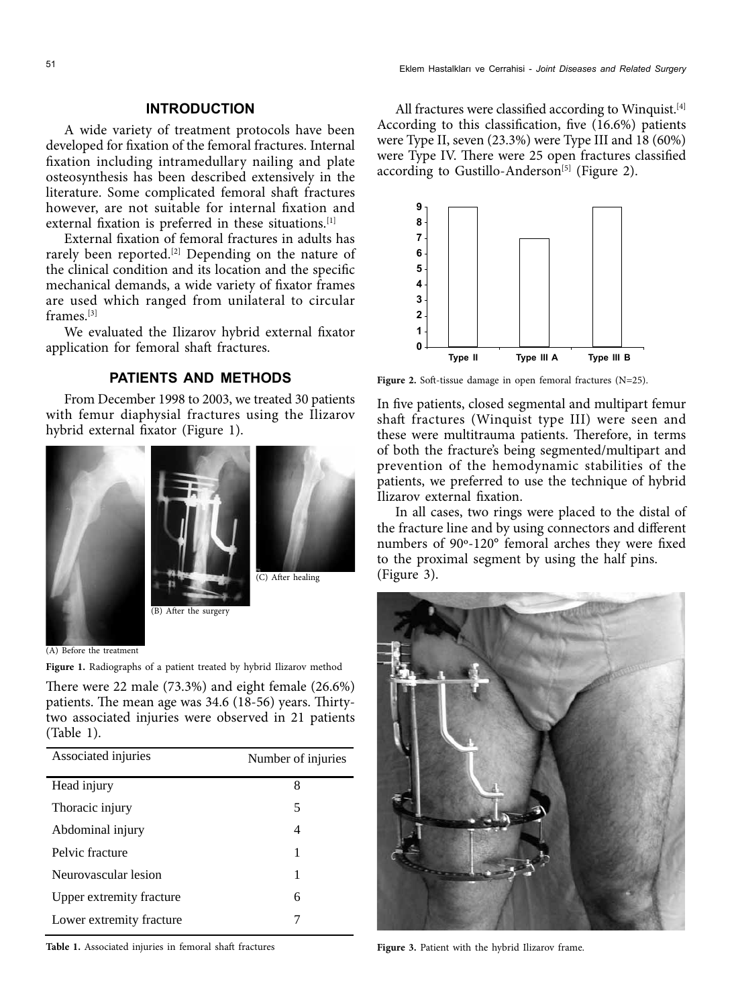## **INTRODUCTION**

A wide variety of treatment protocols have been developed for fixation of the femoral fractures. Internal fixation including intramedullary nailing and plate osteosynthesis has been described extensively in the literature. Some complicated femoral shaft fractures however, are not suitable for internal fixation and external fixation is preferred in these situations.<sup>[1]</sup>

External fixation of femoral fractures in adults has rarely been reported.<sup>[2]</sup> Depending on the nature of the clinical condition and its location and the specific mechanical demands, a wide variety of fixator frames are used which ranged from unilateral to circular frames.[3]

We evaluated the Ilizarov hybrid external fixator application for femoral shaft fractures.

# **PATIENTS AND METHODS**

From December 1998 to 2003, we treated 30 patients with femur diaphysial fractures using the Ilizarov hybrid external fixator (Figure 1).







(C) After healing

(A) Before the treatment

**Figure 1.** Radiographs of a patient treated by hybrid Ilizarov method

There were 22 male (73.3%) and eight female (26.6%) patients. The mean age was 34.6 (18-56) years. Thirtytwo associated injuries were observed in 21 patients (Table 1).

| Number of injuries |
|--------------------|
| 8                  |
| 5                  |
| 4                  |
| 1                  |
| 1                  |
| 6                  |
|                    |
|                    |

Table 1. Associated injuries in femoral shaft fractures **Figure 3.** Patient with the hybrid Ilizarov frame.

All fractures were classified according to Winquist.<sup>[4]</sup> According to this classification, five (16.6%) patients were Type II, seven (23.3%) were Type III and 18 (60%) were Type IV. There were 25 open fractures classified according to Gustillo-Anderson<sup>[5]</sup> (Figure 2).



**Figure 2.** Soft-tissue damage in open femoral fractures (N=25).

In five patients, closed segmental and multipart femur shaft fractures (Winquist type III) were seen and these were multitrauma patients. Therefore, in terms of both the fracture's being segmented/multipart and prevention of the hemodynamic stabilities of the patients, we preferred to use the technique of hybrid Ilizarov external fixation.

In all cases, two rings were placed to the distal of the fracture line and by using connectors and different numbers of 90º-120° femoral arches they were fixed to the proximal segment by using the half pins. (Figure 3).

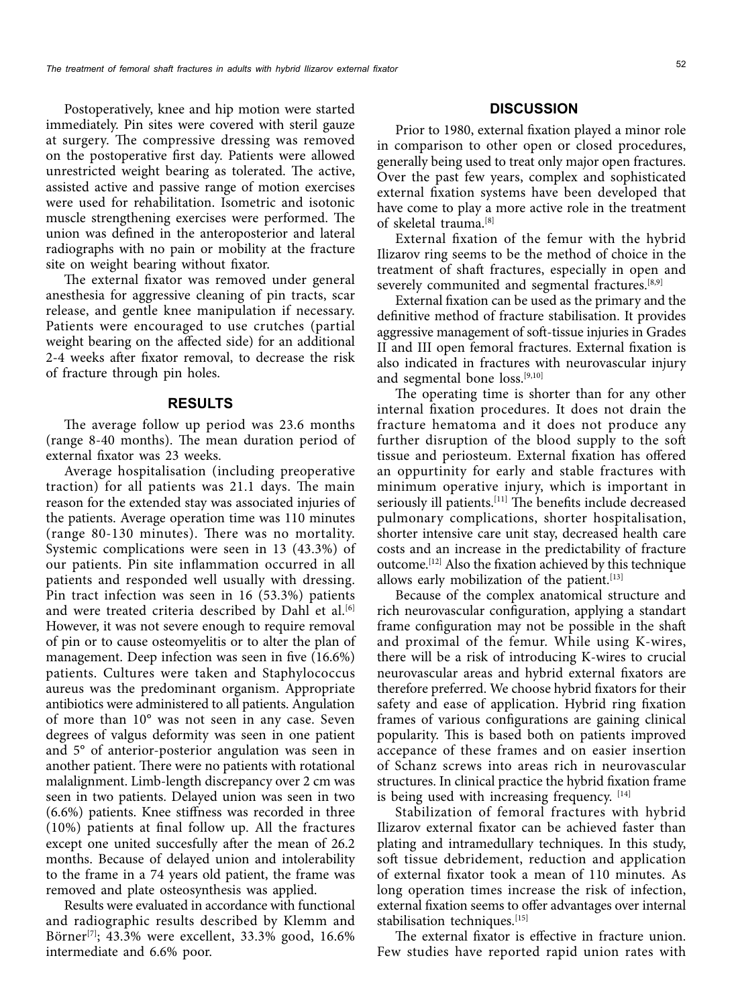Postoperatively, knee and hip motion were started immediately. Pin sites were covered with steril gauze at surgery. The compressive dressing was removed on the postoperative first day. Patients were allowed unrestricted weight bearing as tolerated. The active, assisted active and passive range of motion exercises were used for rehabilitation. Isometric and isotonic muscle strengthening exercises were performed. The union was defined in the anteroposterior and lateral radiographs with no pain or mobility at the fracture site on weight bearing without fixator.

The external fixator was removed under general anesthesia for aggressive cleaning of pin tracts, scar release, and gentle knee manipulation if necessary. Patients were encouraged to use crutches (partial weight bearing on the affected side) for an additional 2-4 weeks after fixator removal, to decrease the risk of fracture through pin holes.

### **RESULTS**

The average follow up period was 23.6 months (range 8-40 months). The mean duration period of external fixator was 23 weeks.

Average hospitalisation (including preoperative traction) for all patients was 21.1 days. The main reason for the extended stay was associated injuries of the patients. Average operation time was 110 minutes (range 80-130 minutes). There was no mortality. Systemic complications were seen in 13 (43.3%) of our patients. Pin site inflammation occurred in all patients and responded well usually with dressing. Pin tract infection was seen in 16 (53.3%) patients and were treated criteria described by Dahl et al.<sup>[6]</sup> However, it was not severe enough to require removal of pin or to cause osteomyelitis or to alter the plan of management. Deep infection was seen in five (16.6%) patients. Cultures were taken and Staphylococcus aureus was the predominant organism. Appropriate antibiotics were administered to all patients. Angulation of more than 10° was not seen in any case. Seven degrees of valgus deformity was seen in one patient and 5° of anterior-posterior angulation was seen in another patient. There were no patients with rotational malalignment. Limb-length discrepancy over 2 cm was seen in two patients. Delayed union was seen in two (6.6%) patients. Knee stiffness was recorded in three (10%) patients at final follow up. All the fractures except one united succesfully after the mean of 26.2 months. Because of delayed union and intolerability to the frame in a 74 years old patient, the frame was removed and plate osteosynthesis was applied.

Results were evaluated in accordance with functional and radiographic results described by Klemm and Börner<sup>[7]</sup>; 43.3% were excellent, 33.3% good, 16.6% intermediate and 6.6% poor.

### **DISCUSSION**

Prior to 1980, external fixation played a minor role in comparison to other open or closed procedures, generally being used to treat only major open fractures. Over the past few years, complex and sophisticated external fixation systems have been developed that have come to play a more active role in the treatment of skeletal trauma.[8]

External fixation of the femur with the hybrid Ilizarov ring seems to be the method of choice in the treatment of shaft fractures, especially in open and severely communited and segmental fractures.<sup>[8,9]</sup>

External fixation can be used as the primary and the definitive method of fracture stabilisation. It provides aggressive management of soft-tissue injuries in Grades II and III open femoral fractures. External fixation is also indicated in fractures with neurovascular injury and segmental bone loss.[9,10]

The operating time is shorter than for any other internal fixation procedures. It does not drain the fracture hematoma and it does not produce any further disruption of the blood supply to the soft tissue and periosteum. External fixation has offered an oppurtinity for early and stable fractures with minimum operative injury, which is important in seriously ill patients.<sup>[11]</sup> The benefits include decreased pulmonary complications, shorter hospitalisation, shorter intensive care unit stay, decreased health care costs and an increase in the predictability of fracture outcome.[12] Also the fixation achieved by this technique allows early mobilization of the patient.  $[13]$ 

Because of the complex anatomical structure and rich neurovascular configuration, applying a standart frame configuration may not be possible in the shaft and proximal of the femur. While using K-wires, there will be a risk of introducing K-wires to crucial neurovascular areas and hybrid external fixators are therefore preferred. We choose hybrid fixators for their safety and ease of application. Hybrid ring fixation frames of various configurations are gaining clinical popularity. This is based both on patients improved accepance of these frames and on easier insertion of Schanz screws into areas rich in neurovascular structures. In clinical practice the hybrid fixation frame is being used with increasing frequency.  $[14]$ 

Stabilization of femoral fractures with hybrid Ilizarov external fixator can be achieved faster than plating and intramedullary techniques. In this study, soft tissue debridement, reduction and application of external fixator took a mean of 110 minutes. As long operation times increase the risk of infection, external fixation seems to offer advantages over internal stabilisation techniques.<sup>[15]</sup>

The external fixator is effective in fracture union. Few studies have reported rapid union rates with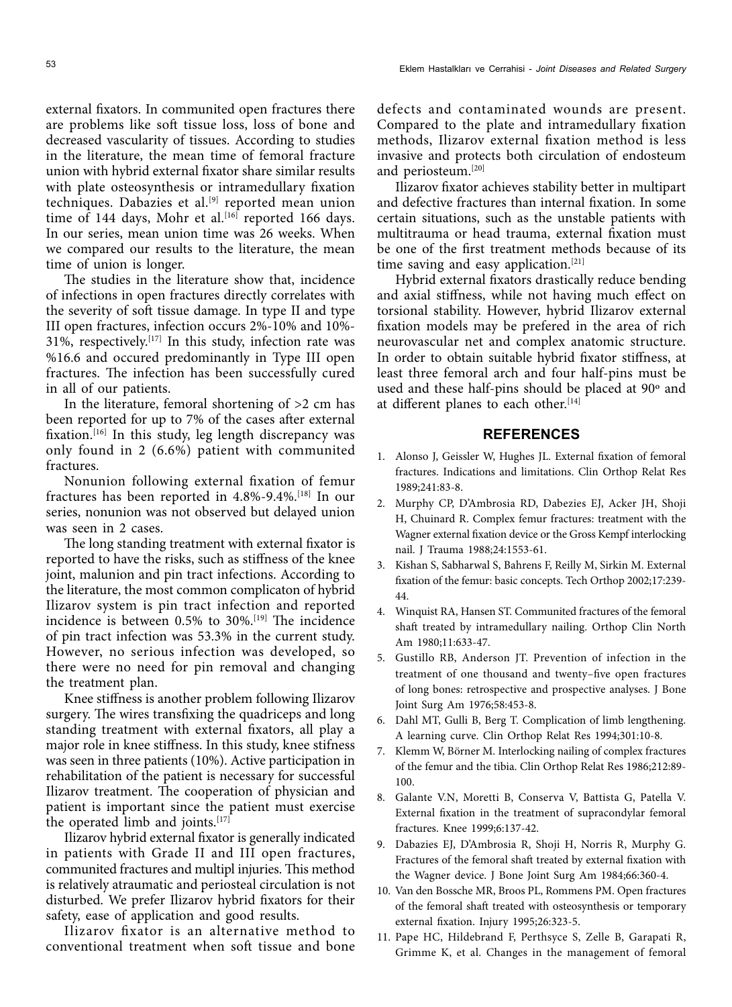external fixators. In communited open fractures there are problems like soft tissue loss, loss of bone and decreased vascularity of tissues. According to studies in the literature, the mean time of femoral fracture union with hybrid external fixator share similar results with plate osteosynthesis or intramedullary fixation techniques. Dabazies et al.<sup>[9]</sup> reported mean union time of 144 days, Mohr et al.<sup>[16]</sup> reported 166 days. In our series, mean union time was 26 weeks. When we compared our results to the literature, the mean time of union is longer.

The studies in the literature show that, incidence of infections in open fractures directly correlates with the severity of soft tissue damage. In type II and type III open fractures, infection occurs 2%-10% and 10%- 31%, respectively.<sup>[17]</sup> In this study, infection rate was %16.6 and occured predominantly in Type III open fractures. The infection has been successfully cured in all of our patients.

In the literature, femoral shortening of  $>2$  cm has been reported for up to 7% of the cases after external fixation.[16] In this study, leg length discrepancy was only found in 2 (6.6%) patient with communited fractures.

Nonunion following external fixation of femur fractures has been reported in 4.8%-9.4%.[18] In our series, nonunion was not observed but delayed union was seen in 2 cases.

The long standing treatment with external fixator is reported to have the risks, such as stiffness of the knee joint, malunion and pin tract infections. According to the literature, the most common complicaton of hybrid Ilizarov system is pin tract infection and reported incidence is between  $0.5\%$  to  $30\%$ .<sup>[19]</sup> The incidence of pin tract infection was 53.3% in the current study. However, no serious infection was developed, so there were no need for pin removal and changing the treatment plan.

Knee stiffness is another problem following Ilizarov surgery. The wires transfixing the quadriceps and long standing treatment with external fixators, all play a major role in knee stiffness. In this study, knee stifness was seen in three patients (10%). Active participation in rehabilitation of the patient is necessary for successful Ilizarov treatment. The cooperation of physician and patient is important since the patient must exercise the operated limb and joints.[17]

Ilizarov hybrid external fixator is generally indicated in patients with Grade II and III open fractures, communited fractures and multipl injuries. This method is relatively atraumatic and periosteal circulation is not disturbed. We prefer Ilizarov hybrid fixators for their safety, ease of application and good results.

Ilizarov fixator is an alternative method to conventional treatment when soft tissue and bone defects and contaminated wounds are present. Compared to the plate and intramedullary fixation methods, Ilizarov external fixation method is less invasive and protects both circulation of endosteum and periosteum.[20]

Ilizarov fixator achieves stability better in multipart and defective fractures than internal fixation. In some certain situations, such as the unstable patients with multitrauma or head trauma, external fixation must be one of the first treatment methods because of its time saving and easy application.<sup>[21]</sup>

Hybrid external fixators drastically reduce bending and axial stiffness, while not having much effect on torsional stability. However, hybrid Ilizarov external fixation models may be prefered in the area of rich neurovascular net and complex anatomic structure. In order to obtain suitable hybrid fixator stiffness, at least three femoral arch and four half-pins must be used and these half-pins should be placed at 90º and at different planes to each other.<sup>[14]</sup>

### **REFERENCES**

- 1. Alonso J, Geissler W, Hughes JL. External fixation of femoral fractures. Indications and limitations. Clin Orthop Relat Res 1989;241:83-8.
- 2. Murphy CP, D'Ambrosia RD, Dabezies EJ, Acker JH, Shoji H, Chuinard R. Complex femur fractures: treatment with the Wagner external fixation device or the Gross Kempf interlocking nail. J Trauma 1988;24:1553-61.
- 3. Kishan S, Sabharwal S, Bahrens F, Reilly M, Sirkin M. External fixation of the femur: basic concepts. Tech Orthop 2002;17:239- 44.
- 4. Winquist RA, Hansen ST. Communited fractures of the femoral shaft treated by intramedullary nailing. Orthop Clin North Am 1980;11:633-47.
- 5. Gustillo RB, Anderson JT. Prevention of infection in the treatment of one thousand and twenty–five open fractures of long bones: retrospective and prospective analyses. J Bone Joint Surg Am 1976;58:453-8.
- 6. Dahl MT, Gulli B, Berg T. Complication of limb lengthening. A learning curve. Clin Orthop Relat Res 1994;301:10-8.
- 7. Klemm W, Börner M. Interlocking nailing of complex fractures of the femur and the tibia. Clin Orthop Relat Res 1986;212:89- 100.
- 8. Galante V.N, Moretti B, Conserva V, Battista G, Patella V. External fixation in the treatment of supracondylar femoral fractures. Knee 1999;6:137-42.
- 9. Dabazies EJ, D'Ambrosia R, Shoji H, Norris R, Murphy G. Fractures of the femoral shaft treated by external fixation with the Wagner device. J Bone Joint Surg Am 1984;66:360-4.
- 10. Van den Bossche MR, Broos PL, Rommens PM. Open fractures of the femoral shaft treated with osteosynthesis or temporary external fixation. Injury 1995;26:323-5.
- 11. Pape HC, Hildebrand F, Perthsyce S, Zelle B, Garapati R, Grimme K, et al. Changes in the management of femoral